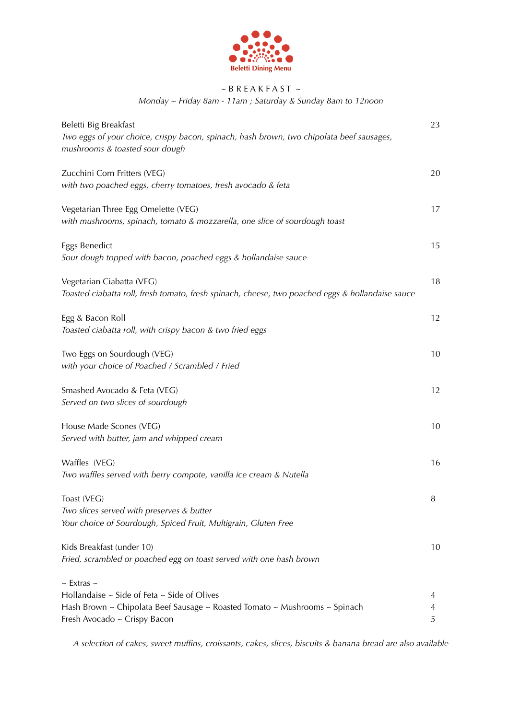

# $~\sim$  B R E A K F A S T  $~\sim$

*Monday ~ Friday 8am - 11am ; Saturday & Sunday 8am to 12noon* 

| Beletti Big Breakfast<br>Two eggs of your choice, crispy bacon, spinach, hash brown, two chipolata beef sausages,<br>mushrooms & toasted sour dough                                         | 23          |
|---------------------------------------------------------------------------------------------------------------------------------------------------------------------------------------------|-------------|
| Zucchini Corn Fritters (VEG)<br>with two poached eggs, cherry tomatoes, fresh avocado & feta                                                                                                | 20          |
| Vegetarian Three Egg Omelette (VEG)<br>with mushrooms, spinach, tomato & mozzarella, one slice of sourdough toast                                                                           | 17          |
| Eggs Benedict<br>Sour dough topped with bacon, poached eggs & hollandaise sauce                                                                                                             | 15          |
| Vegetarian Ciabatta (VEG)<br>Toasted ciabatta roll, fresh tomato, fresh spinach, cheese, two poached eggs & hollandaise sauce                                                               | 18          |
| Egg & Bacon Roll<br>Toasted ciabatta roll, with crispy bacon & two fried eggs                                                                                                               | 12          |
| Two Eggs on Sourdough (VEG)<br>with your choice of Poached / Scrambled / Fried                                                                                                              | 10          |
| Smashed Avocado & Feta (VEG)<br>Served on two slices of sourdough                                                                                                                           | 12          |
| House Made Scones (VEG)<br>Served with butter, jam and whipped cream                                                                                                                        | 10          |
| Waffles (VEG)<br>Two waffles served with berry compote, vanilla ice cream & Nutella                                                                                                         | 16          |
| Toast (VEG)<br>Two slices served with preserves & butter<br>Your choice of Sourdough, Spiced Fruit, Multigrain, Gluten Free                                                                 | 8           |
| Kids Breakfast (under 10)<br>Fried, scrambled or poached egg on toast served with one hash brown                                                                                            | 10          |
| $\sim$ Extras $\sim$<br>Hollandaise $\sim$ Side of Feta $\sim$ Side of Olives<br>Hash Brown ~ Chipolata Beef Sausage ~ Roasted Tomato ~ Mushrooms ~ Spinach<br>Fresh Avocado ~ Crispy Bacon | 4<br>4<br>5 |

*A selection of cakes, sweet muffins, croissants, cakes, slices, biscuits & banana bread are also available*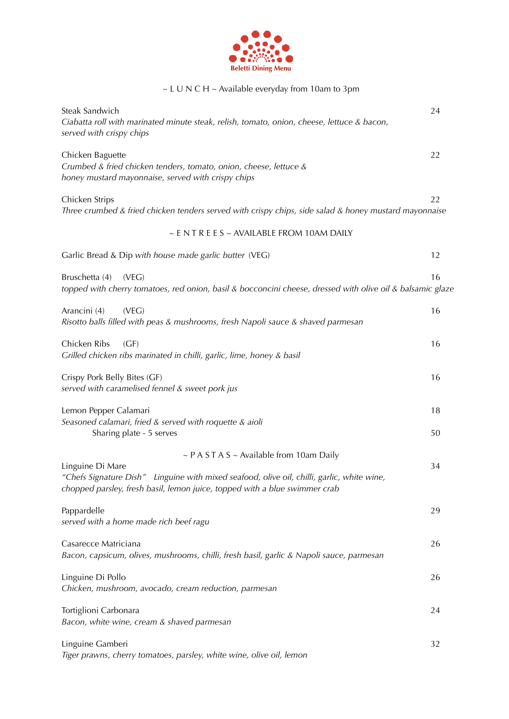

## ~ L U N C H ~ Available everyday from 10am to 3pm

| Steak Sandwich<br>Ciabatta roll with marinated minute steak, relish, tomato, onion, cheese, lettuce & bacon,<br>served with crispy chips                                                                                                    | 24       |
|---------------------------------------------------------------------------------------------------------------------------------------------------------------------------------------------------------------------------------------------|----------|
| Chicken Baguette<br>Crumbed & fried chicken tenders, tomato, onion, cheese, lettuce &<br>honey mustard mayonnaise, served with crispy chips                                                                                                 | 22       |
| Chicken Strips<br>Three crumbed & fried chicken tenders served with crispy chips, side salad & honey mustard mayonnaise                                                                                                                     | 22       |
| ~ ENTREES ~ AVAILABLE FROM 10AM DAILY                                                                                                                                                                                                       |          |
| Garlic Bread & Dip with house made garlic butter (VEG)                                                                                                                                                                                      | 12       |
| Bruschetta (4)<br>(VEG)<br>topped with cherry tomatoes, red onion, basil & bocconcini cheese, dressed with olive oil & balsamic glaze                                                                                                       | 16       |
| Arancini (4)<br>(VEG)<br>Risotto balls filled with peas & mushrooms, fresh Napoli sauce & shaved parmesan                                                                                                                                   | 16       |
| Chicken Ribs<br>(GF)<br>Grilled chicken ribs marinated in chilli, garlic, lime, honey & basil                                                                                                                                               | 16       |
| Crispy Pork Belly Bites (GF)<br>served with caramelised fennel & sweet pork jus                                                                                                                                                             | 16       |
| Lemon Pepper Calamari<br>Seasoned calamari, fried & served with roquette & aioli<br>Sharing plate - 5 serves                                                                                                                                | 18<br>50 |
| ~ $P A S T A S$ ~ Available from 10am Daily<br>Linguine Di Mare<br>"Chefs Signature Dish" Linguine with mixed seafood, olive oil, chilli, garlic, white wine,<br>chopped parsley, fresh basil, lemon juice, topped with a blue swimmer crab | 34       |
| Pappardelle<br>served with a home made rich beef ragu                                                                                                                                                                                       | 29       |
| Casarecce Matriciana<br>Bacon, capsicum, olives, mushrooms, chilli, fresh basil, garlic & Napoli sauce, parmesan                                                                                                                            | 26       |
| Linguine Di Pollo<br>Chicken, mushroom, avocado, cream reduction, parmesan                                                                                                                                                                  | 26       |
| Tortiglioni Carbonara<br>Bacon, white wine, cream & shaved parmesan                                                                                                                                                                         | 24       |
| Linguine Gamberi<br>Tiger prawns, cherry tomatoes, parsley, white wine, olive oil, lemon                                                                                                                                                    | 32       |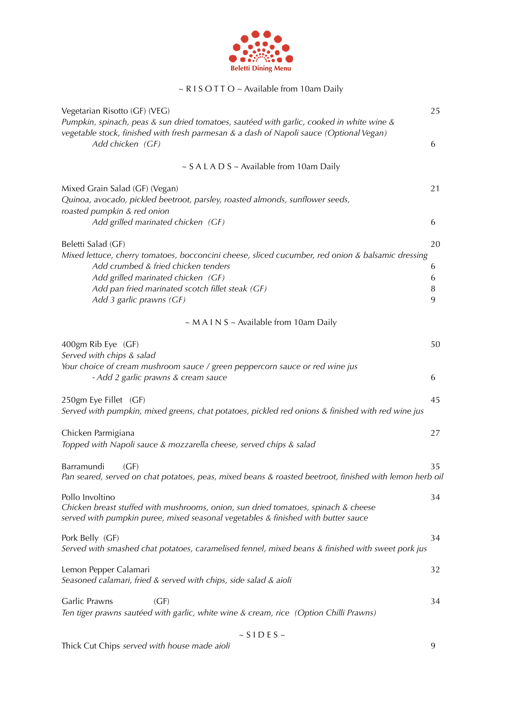

### ~ R I S O T T O ~ Available from 10am Daily

| Vegetarian Risotto (GF) (VEG)<br>Pumpkin, spinach, peas & sun dried tomatoes, sautéed with garlic, cooked in white wine &                                                                                                                                      | 25               |
|----------------------------------------------------------------------------------------------------------------------------------------------------------------------------------------------------------------------------------------------------------------|------------------|
| vegetable stock, finished with fresh parmesan & a dash of Napoli sauce (Optional Vegan)<br>Add chicken (GF)                                                                                                                                                    | 6                |
| $\sim$ S A L A D S $\sim$ Available from 10am Daily                                                                                                                                                                                                            |                  |
| Mixed Grain Salad (GF) (Vegan)<br>Quinoa, avocado, pickled beetroot, parsley, roasted almonds, sunflower seeds,<br>roasted pumpkin & red onion                                                                                                                 | 21               |
| Add grilled marinated chicken (GF)                                                                                                                                                                                                                             | 6                |
| Beletti Salad (GF)                                                                                                                                                                                                                                             | 20               |
| Mixed lettuce, cherry tomatoes, bocconcini cheese, sliced cucumber, red onion & balsamic dressing<br>Add crumbed & fried chicken tenders<br>Add grilled marinated chicken (GF)<br>Add pan fried marinated scotch fillet steak (GF)<br>Add 3 garlic prawns (GF) | 6<br>6<br>8<br>9 |
| $\sim$ M A I N S $\sim$ Available from 10am Daily                                                                                                                                                                                                              |                  |
| 400gm Rib Eye (GF)<br>Served with chips & salad                                                                                                                                                                                                                | 50               |
| Your choice of cream mushroom sauce / green peppercorn sauce or red wine jus<br>- Add 2 garlic prawns & cream sauce                                                                                                                                            | 6                |
| 250gm Eye Fillet (GF)<br>Served with pumpkin, mixed greens, chat potatoes, pickled red onions & finished with red wine jus                                                                                                                                     | 45               |
| Chicken Parmigiana<br>Topped with Napoli sauce & mozzarella cheese, served chips & salad                                                                                                                                                                       | 27               |
| Barramundi<br>(GF)<br>Pan seared, served on chat potatoes, peas, mixed beans & roasted beetroot, finished with lemon herb oil                                                                                                                                  | 35               |
| Pollo Involtino<br>Chicken breast stuffed with mushrooms, onion, sun dried tomatoes, spinach & cheese<br>served with pumpkin puree, mixed seasonal vegetables & finished with butter sauce                                                                     | 34               |
| Pork Belly (GF)<br>Served with smashed chat potatoes, caramelised fennel, mixed beans & finished with sweet pork jus                                                                                                                                           | 34               |
| Lemon Pepper Calamari<br>Seasoned calamari, fried & served with chips, side salad & aioli                                                                                                                                                                      | 32               |
| Garlic Prawns<br>(GF)<br>Ten tiger prawns sautéed with garlic, white wine & cream, rice (Option Chilli Prawns)                                                                                                                                                 | 34               |
| $\sim$ S I D E S $\sim$                                                                                                                                                                                                                                        |                  |

Thick Cut Chips *served with house made aioli* 9